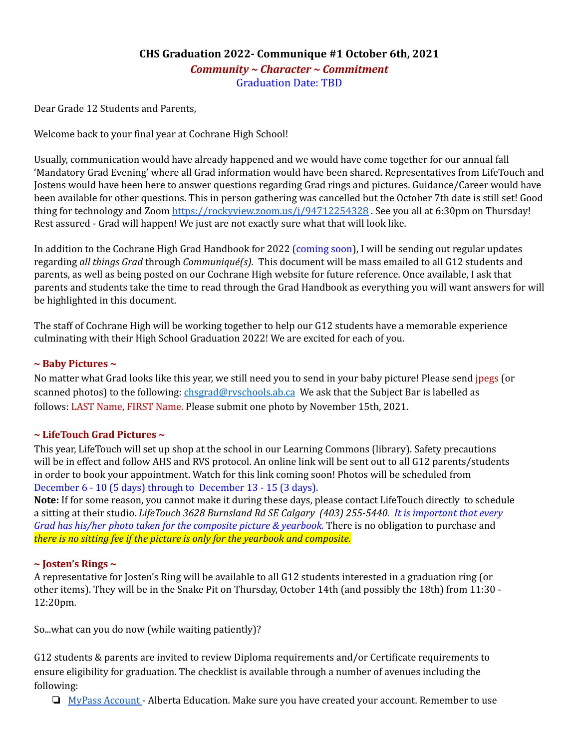## **CHS Graduation 2022- Communique #1 October 6th, 2021** *Community ~ Character ~ Commitment* Graduation Date: TBD

Dear Grade 12 Students and Parents,

Welcome back to your final year at Cochrane High School!

Usually, communication would have already happened and we would have come together for our annual fall 'Mandatory Grad Evening' where all Grad information would have been shared. Representatives from LifeTouch and Jostens would have been here to answer questions regarding Grad rings and pictures. Guidance/Career would have been available for other questions. This in person gathering was cancelled but the October 7th date is still set! Good thing for technology and Zoom <https://rockyview.zoom.us/j/94712254328> . See you all at 6:30pm on Thursday! Rest assured - Grad will happen! We just are not exactly sure what that will look like.

In addition to the Cochrane High Grad Handbook for 2022 (coming soon), I will be sending out regular updates regarding *all things Grad* through *Communiqué(s).* This document will be mass emailed to all G12 students and parents, as well as being posted on our Cochrane High website for future reference. Once available, I ask that parents and students take the time to read through the Grad Handbook as everything you will want answers for will be highlighted in this document.

The staff of Cochrane High will be working together to help our G12 students have a memorable experience culminating with their High School Graduation 2022! We are excited for each of you.

#### **~ Baby Pictures ~**

No matter what Grad looks like this year, we still need you to send in your baby picture! Please send jpegs (or scanned photos) to the following: [chsgrad@rvschools.ab.ca](mailto:chsgrad@rvschools.ab.ca) We ask that the Subject Bar is labelled as follows: LAST Name, FIRST Name. Please submit one photo by November 15th, 2021.

#### **~ LifeTouch Grad Pictures ~**

This year, LifeTouch will set up shop at the school in our Learning Commons (library). Safety precautions will be in effect and follow AHS and RVS protocol. An online link will be sent out to all G12 parents/students in order to book your appointment. Watch for this link coming soon! Photos will be scheduled from December 6 - 10 (5 days) through to December 13 - 15 (3 days).

**Note:** If for some reason, you cannot make it during these days, please contact LifeTouch directly to schedule a sitting at their studio. *LifeTouch 3628 Burnsland Rd SE Calgary (403) 255-5440. It is important that every Grad has his/her photo taken for the composite picture & yearbook.* There is no obligation to purchase and *there is no sitting fee if the picture is only for the yearbook and composite.*

#### **~ Josten's Rings ~**

A representative for Josten's Ring will be available to all G12 students interested in a graduation ring (or other items). They will be in the Snake Pit on Thursday, October 14th (and possibly the 18th) from 11:30 - 12:20pm.

So...what can you do now (while waiting patiently)?

G12 students & parents are invited to review Diploma requirements and/or Certificate requirements to ensure eligibility for graduation. The checklist is available through a number of avenues including the following:

 $\Box$  MyPass [Account](https://public.education.alberta.ca/PASI/myPass/welcome) - Alberta Education. Make sure you have created your account. Remember to use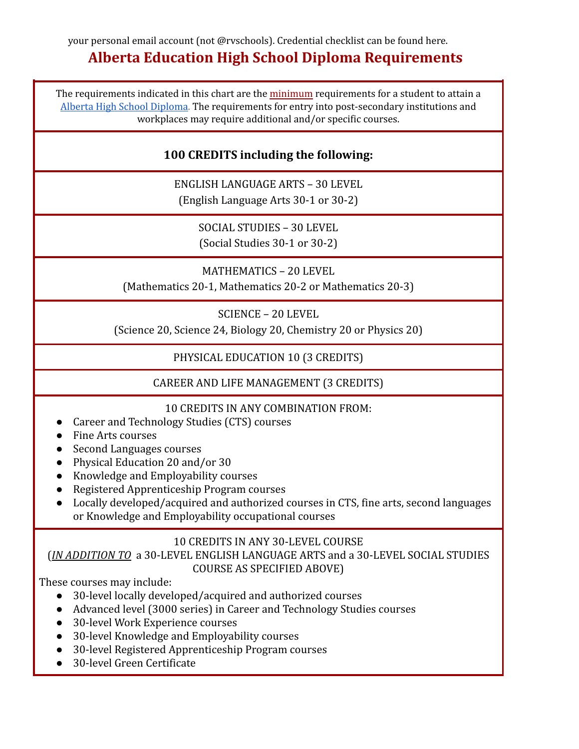# **Alberta Education High School Diploma Requirements**

The requirements indicated in this chart are the minimum requirements for a student to attain a Alberta High School [Diploma.](https://www.alberta.ca/graduation-requirements-credentials-and-credits.aspx?utm_source=redirector) The requirements for entry into post-secondary institutions and workplaces may require additional and/or specific courses.

# **100 CREDITS including the following:**

ENGLISH LANGUAGE ARTS – 30 LEVEL (English Language Arts 30-1 or 30-2)

> SOCIAL STUDIES – 30 LEVEL (Social Studies 30-1 or 30-2)

MATHEMATICS – 20 LEVEL (Mathematics 20-1, Mathematics 20-2 or Mathematics 20-3)

SCIENCE – 20 LEVEL

(Science 20, Science 24, Biology 20, Chemistry 20 or Physics 20)

PHYSICAL EDUCATION 10 (3 CREDITS)

CAREER AND LIFE MANAGEMENT (3 CREDITS)

## 10 CREDITS IN ANY COMBINATION FROM:

- Career and Technology Studies (CTS) courses
- Fine Arts courses
- Second Languages courses
- Physical Education 20 and/or 30
- Knowledge and Employability courses
- Registered Apprenticeship Program courses
- Locally developed/acquired and authorized courses in CTS, fine arts, second languages or Knowledge and Employability occupational courses

## 10 CREDITS IN ANY 30-LEVEL COURSE

(*IN ADDITION TO* a 30-LEVEL ENGLISH LANGUAGE ARTS and a 30-LEVEL SOCIAL STUDIES COURSE AS SPECIFIED ABOVE)

These courses may include:

- 30-level locally developed/acquired and authorized courses
- Advanced level (3000 series) in Career and Technology Studies courses
- 30-level Work Experience courses
- 30-level Knowledge and Employability courses
- 30-level Registered Apprenticeship Program courses
- 30-level Green Certificate